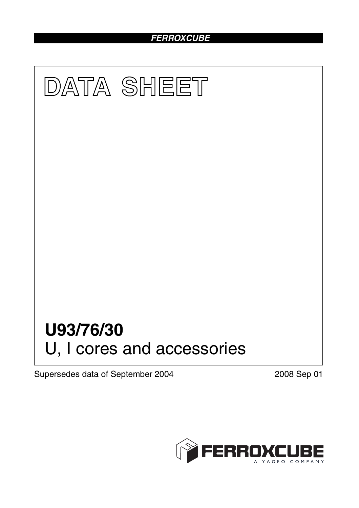## *FERROXCUBE*



Supersedes data of September 2004 2008 Sep 01

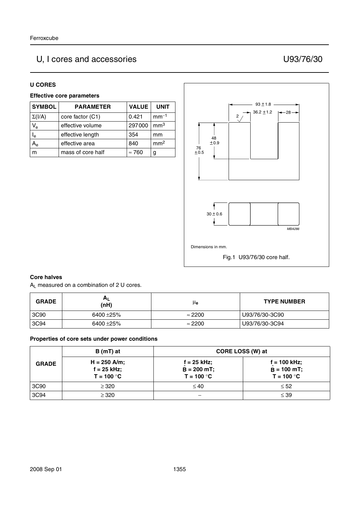# U, I cores and accessories U93/76/30

#### **U CORES**

### **Effective core parameters**

| <b>SYMBOL</b>           | <b>PARAMETER</b>  | <b>VALUE</b>  | <b>UNIT</b>     |
|-------------------------|-------------------|---------------|-----------------|
| $\Sigma(I/A)$           | core factor (C1)  | 0.421         | $mm-1$          |
| $V_{\rm e}$             | effective volume  | 297000        | mm <sup>3</sup> |
| $\mathsf{I}_\mathsf{e}$ | effective length  | 354           | mm              |
| А,                      | effective area    | 840           | mm <sup>2</sup> |
|                         | mass of core half | $\approx 760$ | g               |



### **Core halves**

AL measured on a combination of 2 U cores.

| <b>GRADE</b> | $A_L$<br>(nH) | μe             | <b>TYPE NUMBER</b> |
|--------------|---------------|----------------|--------------------|
| 3C90         | 6400 ±25%     | $\approx$ 2200 | U93/76/30-3C90     |
| 3C94         | 6400 ±25%     | $\approx$ 2200 | U93/76/30-3C94     |

#### **Properties of core sets under power conditions**

|              | $B(mT)$ at                                      | CORE LOSS (W) at                                |                                                 |
|--------------|-------------------------------------------------|-------------------------------------------------|-------------------------------------------------|
| <b>GRADE</b> | $H = 250$ A/m;<br>$f = 25$ kHz;<br>$T = 100 °C$ | $f = 25$ kHz;<br>$B = 200 mT$ ;<br>$T = 100 °C$ | $f = 100$ kHz;<br>$B = 100$ mT;<br>$T = 100 °C$ |
| 3C90         | $\geq$ 320                                      | $\leq 40$                                       | $\leq 52$                                       |
| 3C94         | $\geq$ 320                                      | –                                               | $\leq$ 39                                       |